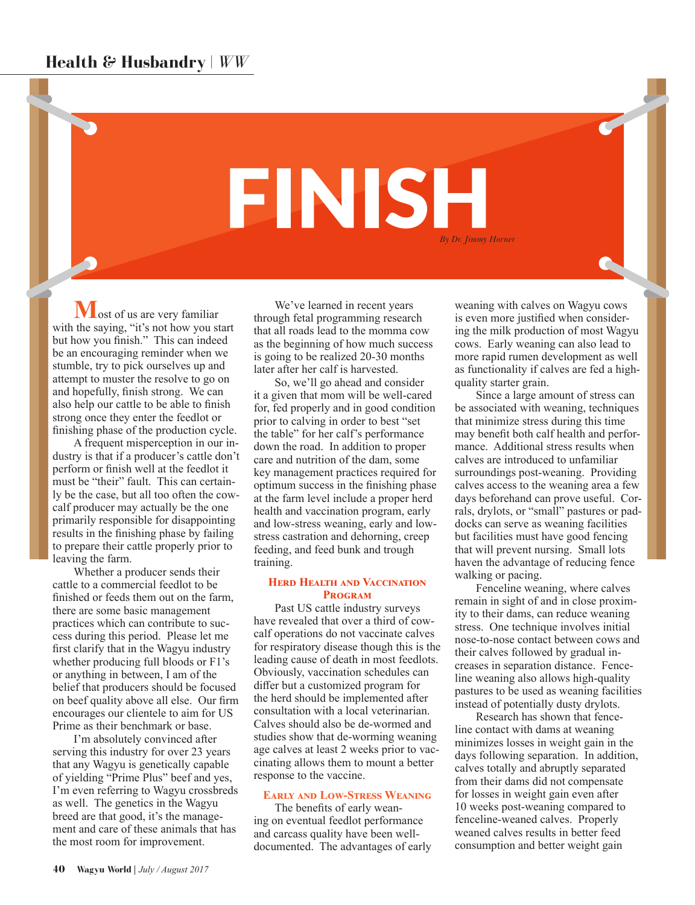# **FINISH** *By Dr. Jimmy Horner*

**M**ost of us are very familiar with the saying, "it's not how you start but how you finish." This can indeed be an encouraging reminder when we stumble, try to pick ourselves up and attempt to muster the resolve to go on and hopefully, finish strong. We can also help our cattle to be able to finish strong once they enter the feedlot or finishing phase of the production cycle.

A frequent misperception in our industry is that if a producer's cattle don't perform or finish well at the feedlot it must be "their" fault. This can certainly be the case, but all too often the cowcalf producer may actually be the one primarily responsible for disappointing results in the finishing phase by failing to prepare their cattle properly prior to leaving the farm.

Whether a producer sends their cattle to a commercial feedlot to be finished or feeds them out on the farm, there are some basic management practices which can contribute to success during this period. Please let me first clarify that in the Wagyu industry whether producing full bloods or F1's or anything in between, I am of the belief that producers should be focused on beef quality above all else. Our firm encourages our clientele to aim for US Prime as their benchmark or base.

I'm absolutely convinced after serving this industry for over 23 years that any Wagyu is genetically capable of yielding "Prime Plus" beef and yes, I'm even referring to Wagyu crossbreds as well. The genetics in the Wagyu breed are that good, it's the management and care of these animals that has the most room for improvement.

We've learned in recent years through fetal programming research that all roads lead to the momma cow as the beginning of how much success is going to be realized 20-30 months later after her calf is harvested.

So, we'll go ahead and consider it a given that mom will be well-cared for, fed properly and in good condition prior to calving in order to best "set the table" for her calf's performance down the road. In addition to proper care and nutrition of the dam, some key management practices required for optimum success in the finishing phase at the farm level include a proper herd health and vaccination program, early and low-stress weaning, early and lowstress castration and dehorning, creep feeding, and feed bunk and trough training.

# **HERD HEALTH AND VACCINATION Program**

Past US cattle industry surveys have revealed that over a third of cowcalf operations do not vaccinate calves for respiratory disease though this is the leading cause of death in most feedlots. Obviously, vaccination schedules can differ but a customized program for the herd should be implemented after consultation with a local veterinarian. Calves should also be de-wormed and studies show that de-worming weaning age calves at least 2 weeks prior to vaccinating allows them to mount a better response to the vaccine.

# **Early and Low-Stress Weaning**

The benefits of early weaning on eventual feedlot performance and carcass quality have been welldocumented. The advantages of early

weaning with calves on Wagyu cows is even more justified when considering the milk production of most Wagyu cows. Early weaning can also lead to more rapid rumen development as well as functionality if calves are fed a highquality starter grain.

Since a large amount of stress can be associated with weaning, techniques that minimize stress during this time may benefit both calf health and performance. Additional stress results when calves are introduced to unfamiliar surroundings post-weaning. Providing calves access to the weaning area a few days beforehand can prove useful. Corrals, drylots, or "small" pastures or paddocks can serve as weaning facilities but facilities must have good fencing that will prevent nursing. Small lots haven the advantage of reducing fence walking or pacing.

Fenceline weaning, where calves remain in sight of and in close proximity to their dams, can reduce weaning stress. One technique involves initial nose-to-nose contact between cows and their calves followed by gradual increases in separation distance. Fenceline weaning also allows high-quality pastures to be used as weaning facilities instead of potentially dusty drylots.

Research has shown that fenceline contact with dams at weaning minimizes losses in weight gain in the days following separation. In addition, calves totally and abruptly separated from their dams did not compensate for losses in weight gain even after 10 weeks post-weaning compared to fenceline-weaned calves. Properly weaned calves results in better feed consumption and better weight gain